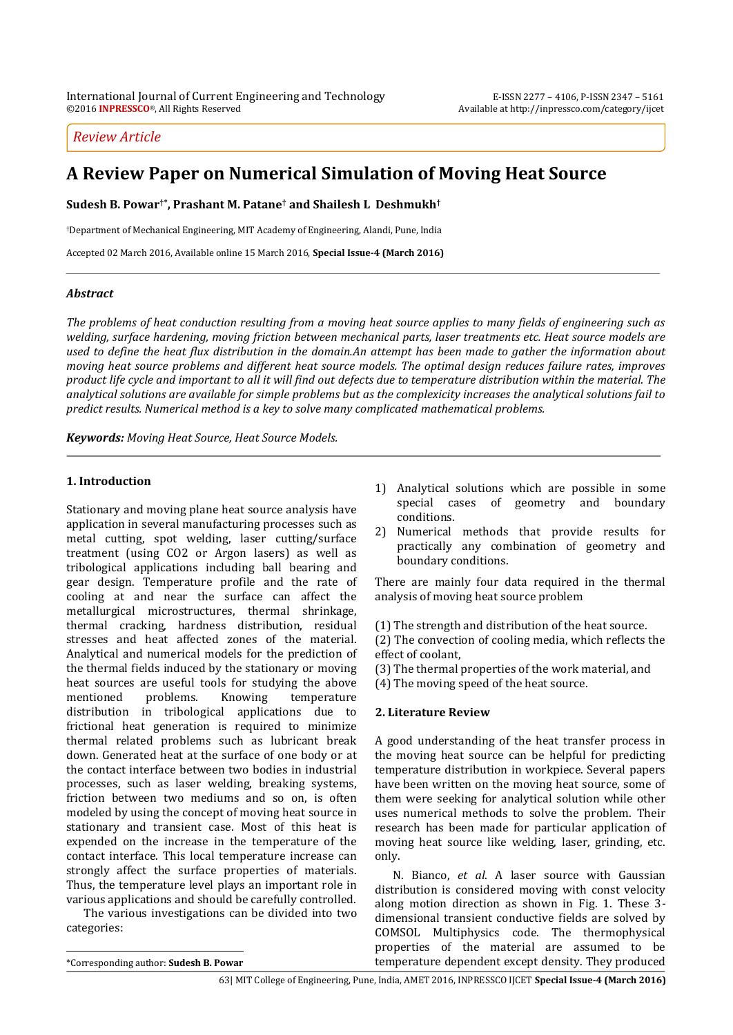## *Review Article*

# **A Review Paper on Numerical Simulation of Moving Heat Source**

**Sudesh B. Powar†\* , Prashant M. Patane† and Shailesh L Deshmukh†**

†Department of Mechanical Engineering, MIT Academy of Engineering, Alandi, Pune, India

Accepted 02 March 2016, Available online 15 March 2016, **Special Issue-4 (March 2016)**

### *Abstract*

*The problems of heat conduction resulting from a moving heat source applies to many fields of engineering such as welding, surface hardening, moving friction between mechanical parts, laser treatments etc. Heat source models are used to define the heat flux distribution in the domain.An attempt has been made to gather the information about moving heat source problems and different heat source models. The optimal design reduces failure rates, improves product life cycle and important to all it will find out defects due to temperature distribution within the material. The analytical solutions are available for simple problems but as the complexicity increases the analytical solutions fail to predict results. Numerical method is a key to solve many complicated mathematical problems.*

*Keywords: Moving Heat Source, Heat Source Models.*

### **1. Introduction**

Stationary and moving plane heat source analysis have application in several manufacturing processes such as metal cutting, spot welding, laser cutting/surface treatment (using CO2 or Argon lasers) as well as tribological applications including ball bearing and gear design. Temperature profile and the rate of cooling at and near the surface can affect the metallurgical microstructures, thermal shrinkage, thermal cracking, hardness distribution, residual stresses and heat affected zones of the material. Analytical and numerical models for the prediction of the thermal fields induced by the stationary or moving heat sources are useful tools for studying the above mentioned problems. Knowing temperature distribution in tribological applications due to frictional heat generation is required to minimize thermal related problems such as lubricant break down. Generated heat at the surface of one body or at the contact interface between two bodies in industrial processes, such as laser welding, breaking systems, friction between two mediums and so on, is often modeled by using the concept of moving heat source in stationary and transient case. Most of this heat is expended on the increase in the temperature of the contact interface. This local temperature increase can strongly affect the surface properties of materials. Thus, the temperature level plays an important role in various applications and should be carefully controlled.

The various investigations can be divided into two categories:

- 1) Analytical solutions which are possible in some special cases of geometry and boundary conditions.
- 2) Numerical methods that provide results for practically any combination of geometry and boundary conditions.

There are mainly four data required in the thermal analysis of moving heat source problem

(1) The strength and distribution of the heat source.

(2) The convection of cooling media, which reflects the effect of coolant,

(3) The thermal properties of the work material, and

(4) The moving speed of the heat source.

### **2. Literature Review**

A good understanding of the heat transfer process in the moving heat source can be helpful for predicting temperature distribution in workpiece. Several papers have been written on the moving heat source, some of them were seeking for analytical solution while other uses numerical methods to solve the problem. Their research has been made for particular application of moving heat source like welding, laser, grinding, etc. only.

N. Bianco, *et al*. A laser source with Gaussian distribution is considered moving with const velocity along motion direction as shown in Fig. 1. These 3 dimensional transient conductive fields are solved by COMSOL Multiphysics code. The thermophysical properties of the material are assumed to be temperature dependent except density. They produced

 $\overline{a}$ 

<sup>\*</sup>Corresponding author: **Sudesh B. Powar**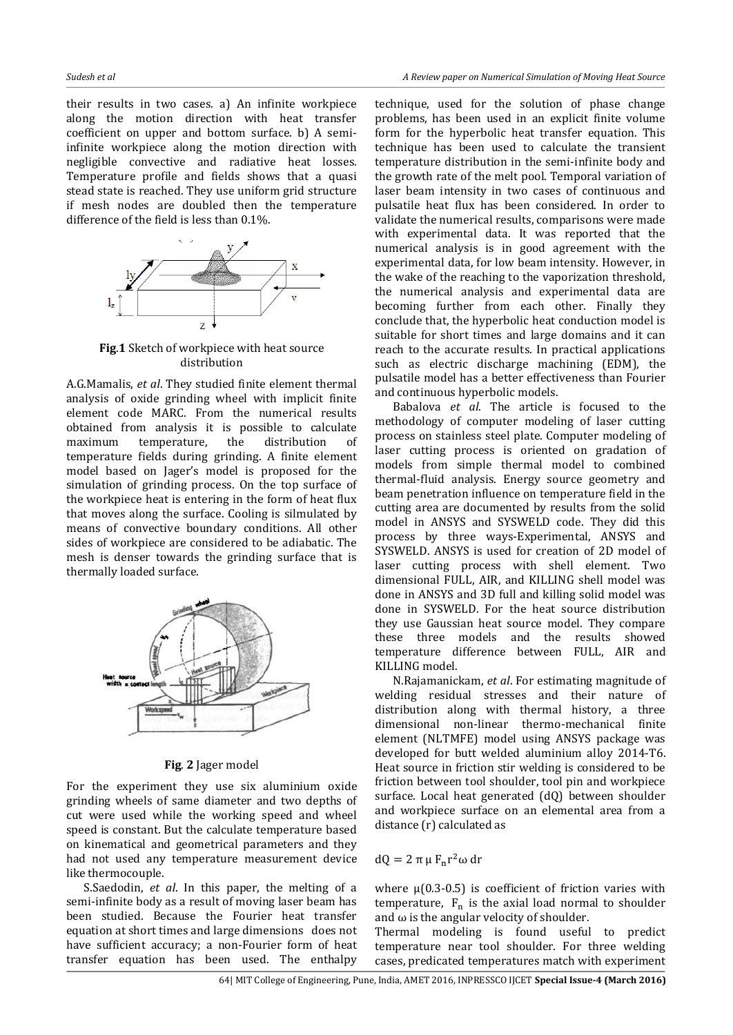their results in two cases. a) An infinite workpiece along the motion direction with heat transfer coefficient on upper and bottom surface. b) A semiinfinite workpiece along the motion direction with negligible convective and radiative heat losses. Temperature profile and fields shows that a quasi stead state is reached. They use uniform grid structure if mesh nodes are doubled then the temperature difference of the field is less than 0.1%.



**Fig**.**1** Sketch of workpiece with heat source distribution

A.G.Mamalis, *et al*. They studied finite element thermal analysis of oxide grinding wheel with implicit finite element code MARC. From the numerical results obtained from analysis it is possible to calculate maximum temperature, the distribution of temperature fields during grinding. A finite element model based on Jager's model is proposed for the simulation of grinding process. On the top surface of the workpiece heat is entering in the form of heat flux that moves along the surface. Cooling is silmulated by means of convective boundary conditions. All other sides of workpiece are considered to be adiabatic. The mesh is denser towards the grinding surface that is thermally loaded surface.



**Fig**. **2** Jager model

For the experiment they use six aluminium oxide grinding wheels of same diameter and two depths of cut were used while the working speed and wheel speed is constant. But the calculate temperature based on kinematical and geometrical parameters and they had not used any temperature measurement device like thermocouple.

S.Saedodin, *et al*. In this paper, the melting of a semi-infinite body as a result of moving laser beam has been studied. Because the Fourier heat transfer equation at short times and large dimensions does not have sufficient accuracy; a non-Fourier form of heat transfer equation has been used. The enthalpy

technique, used for the solution of phase change problems, has been used in an explicit finite volume form for the hyperbolic heat transfer equation. This technique has been used to calculate the transient temperature distribution in the semi-infinite body and the growth rate of the melt pool. Temporal variation of laser beam intensity in two cases of continuous and pulsatile heat flux has been considered. In order to validate the numerical results, comparisons were made with experimental data. It was reported that the numerical analysis is in good agreement with the experimental data, for low beam intensity. However, in the wake of the reaching to the vaporization threshold, the numerical analysis and experimental data are becoming further from each other. Finally they conclude that, the hyperbolic heat conduction model is suitable for short times and large domains and it can reach to the accurate results. In practical applications such as electric discharge machining (EDM), the pulsatile model has a better effectiveness than Fourier and continuous hyperbolic models.

Babalova *et al*. The article is focused to the methodology of computer modeling of laser cutting process on stainless steel plate. Computer modeling of laser cutting process is oriented on gradation of models from simple thermal model to combined thermal-fluid analysis. Energy source geometry and beam penetration influence on temperature field in the cutting area are documented by results from the solid model in ANSYS and SYSWELD code. They did this process by three ways-Experimental, ANSYS and SYSWELD. ANSYS is used for creation of 2D model of laser cutting process with shell element. Two dimensional FULL, AIR, and KILLING shell model was done in ANSYS and 3D full and killing solid model was done in SYSWELD. For the heat source distribution they use Gaussian heat source model. They compare these three models and the results showed temperature difference between FULL, AIR and KILLING model.

N.Rajamanickam, *et al*. For estimating magnitude of welding residual stresses and their nature of distribution along with thermal history, a three dimensional non-linear thermo-mechanical finite element (NLTMFE) model using ANSYS package was developed for butt welded aluminium alloy 2014-T6. Heat source in friction stir welding is considered to be friction between tool shoulder, tool pin and workpiece surface. Local heat generated (dQ) between shoulder and workpiece surface on an elemental area from a distance (r) calculated as

$$
dQ = 2 \pi \mu F_n r^2 \omega dr
$$

where  $\mu$ (0.3-0.5) is coefficient of friction varies with temperature,  $F_n$  is the axial load normal to shoulder and  $\omega$  is the angular velocity of shoulder.

Thermal modeling is found useful to predict temperature near tool shoulder. For three welding cases, predicated temperatures match with experiment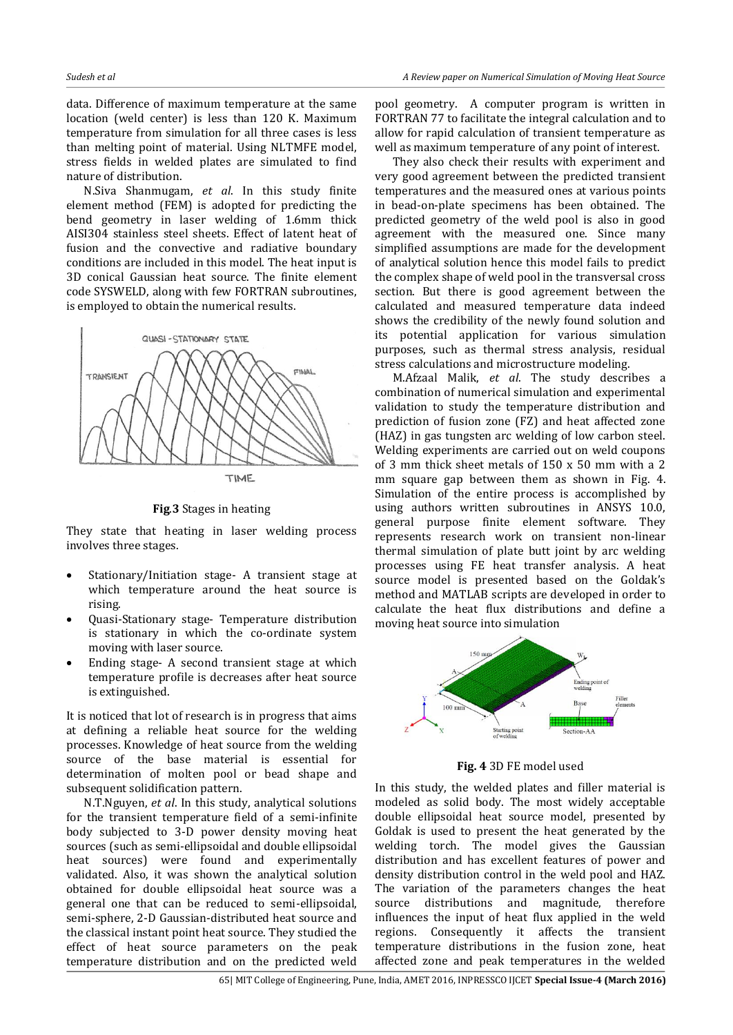data. Difference of maximum temperature at the same location (weld center) is less than 120 K. Maximum temperature from simulation for all three cases is less than melting point of material. Using NLTMFE model, stress fields in welded plates are simulated to find nature of distribution.

N.Siva Shanmugam, *et al*. In this study finite element method (FEM) is adopted for predicting the bend geometry in laser welding of 1.6mm thick AISI304 stainless steel sheets. Effect of latent heat of fusion and the convective and radiative boundary conditions are included in this model. The heat input is 3D conical Gaussian heat source. The finite element code SYSWELD, along with few FORTRAN subroutines, is employed to obtain the numerical results.



**Fig**.**3** Stages in heating

They state that heating in laser welding process involves three stages.

- Stationary/Initiation stage- A transient stage at which temperature around the heat source is rising.
- Quasi-Stationary stage- Temperature distribution is stationary in which the co-ordinate system moving with laser source.
- Ending stage- A second transient stage at which temperature profile is decreases after heat source is extinguished.

It is noticed that lot of research is in progress that aims at defining a reliable heat source for the welding processes. Knowledge of heat source from the welding source of the base material is essential for determination of molten pool or bead shape and subsequent solidification pattern.

N.T.Nguyen, *et al*. In this study, analytical solutions for the transient temperature field of a semi-infinite body subjected to 3-D power density moving heat sources (such as semi-ellipsoidal and double ellipsoidal heat sources) were found and experimentally validated. Also, it was shown the analytical solution obtained for double ellipsoidal heat source was a general one that can be reduced to semi-ellipsoidal, semi-sphere, 2-D Gaussian-distributed heat source and the classical instant point heat source. They studied the effect of heat source parameters on the peak temperature distribution and on the predicted weld pool geometry. A computer program is written in FORTRAN 77 to facilitate the integral calculation and to allow for rapid calculation of transient temperature as well as maximum temperature of any point of interest.

They also check their results with experiment and very good agreement between the predicted transient temperatures and the measured ones at various points in bead-on-plate specimens has been obtained. The predicted geometry of the weld pool is also in good agreement with the measured one. Since many simplified assumptions are made for the development of analytical solution hence this model fails to predict the complex shape of weld pool in the transversal cross section. But there is good agreement between the calculated and measured temperature data indeed shows the credibility of the newly found solution and its potential application for various simulation purposes, such as thermal stress analysis, residual stress calculations and microstructure modeling.

M.Afzaal Malik, *et al*. The study describes a combination of numerical simulation and experimental validation to study the temperature distribution and prediction of fusion zone (FZ) and heat affected zone (HAZ) in gas tungsten arc welding of low carbon steel. Welding experiments are carried out on weld coupons of 3 mm thick sheet metals of 150 x 50 mm with a 2 mm square gap between them as shown in Fig. 4. Simulation of the entire process is accomplished by using authors written subroutines in ANSYS 10.0, general purpose finite element software. They represents research work on transient non-linear thermal simulation of plate butt joint by arc welding processes using FE heat transfer analysis. A heat source model is presented based on the Goldak's method and MATLAB scripts are developed in order to calculate the heat flux distributions and define a moving heat source into simulation



**Fig. 4** 3D FE model used

In this study, the welded plates and filler material is modeled as solid body. The most widely acceptable double ellipsoidal heat source model, presented by Goldak is used to present the heat generated by the welding torch. The model gives the Gaussian distribution and has excellent features of power and density distribution control in the weld pool and HAZ. The variation of the parameters changes the heat source distributions and magnitude, therefore influences the input of heat flux applied in the weld regions. Consequently it affects the transient temperature distributions in the fusion zone, heat affected zone and peak temperatures in the welded